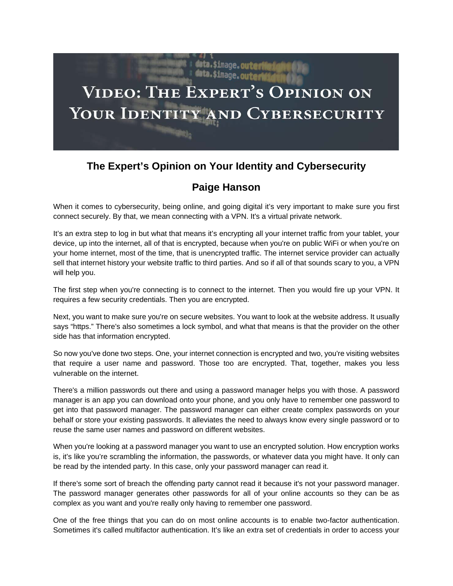## ita.\$image**.outeri** data.\$image.outer **VIDEO: THE EXPERT'S OPINION ON** YOUR IDENTITY AND CYBERSECURITY

## **The Expert's Opinion on Your Identity and Cybersecurity**

## **Paige Hanson**

When it comes to cybersecurity, being online, and going digital it's very important to make sure you first connect securely. By that, we mean connecting with a VPN. It's a virtual private network.

It's an extra step to log in but what that means it's encrypting all your internet traffic from your tablet, your device, up into the internet, all of that is encrypted, because when you're on public WiFi or when you're on your home internet, most of the time, that is unencrypted traffic. The internet service provider can actually sell that internet history your website traffic to third parties. And so if all of that sounds scary to you, a VPN will help you.

The first step when you're connecting is to connect to the internet. Then you would fire up your VPN. It requires a few security credentials. Then you are encrypted.

Next, you want to make sure you're on secure websites. You want to look at the website address. It usually says "https." There's also sometimes a lock symbol, and what that means is that the provider on the other side has that information encrypted.

So now you've done two steps. One, your internet connection is encrypted and two, you're visiting websites that require a user name and password. Those too are encrypted. That, together, makes you less vulnerable on the internet.

There's a million passwords out there and using a password manager helps you with those. A password manager is an app you can download onto your phone, and you only have to remember one password to get into that password manager. The password manager can either create complex passwords on your behalf or store your existing passwords. It alleviates the need to always know every single password or to reuse the same user names and password on different websites.

When you're looking at a password manager you want to use an encrypted solution. How encryption works is, it's like you're scrambling the information, the passwords, or whatever data you might have. It only can be read by the intended party. In this case, only your password manager can read it.

If there's some sort of breach the offending party cannot read it because it's not your password manager. The password manager generates other passwords for all of your online accounts so they can be as complex as you want and you're really only having to remember one password.

One of the free things that you can do on most online accounts is to enable two-factor authentication. Sometimes it's called multifactor authentication. It's like an extra set of credentials in order to access your